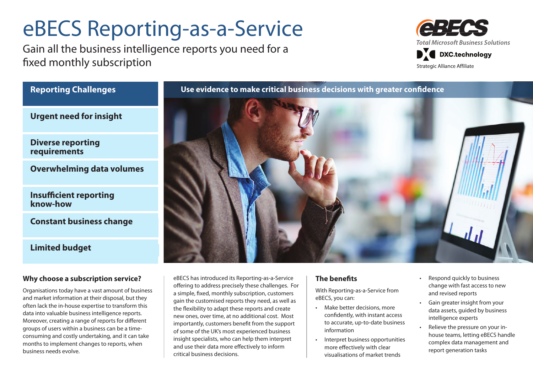# eBECS Reporting-as-a-Service

Gain all the business intelligence reports you need for a fixed monthly subscription



## **Reporting Challenges**

**Urgent need for insight**

**Diverse reporting requirements**

**Overwhelming data volumes**

**Insufficient reporting know-how**

**Constant business change**

## **Limited budget**

### **Why choose a subscription service?**

Organisations today have a vast amount of business and market information at their disposal, but they often lack the in-house expertise to transform this data into valuable business intelligence reports. Moreover, creating a range of reports for different groups of users within a business can be a timeconsuming and costly undertaking, and it can take months to implement changes to reports, when business needs evolve.

#### eBECS has introduced its Reporting-as-a-Service offering to address precisely these challenges. For a simple, fixed, monthly subscription, customers gain the customised reports they need, as well as the flexibility to adapt these reports and create new ones, over time, at no additional cost. Most importantly, customers benefit from the support of some of the UK's most experienced business insight specialists, who can help them interpret and use their data more effectively to inform critical business decisions.

### **The benefits**

With Reporting-as-a-Service from eBECS, you can:

- Make better decisions, more confidently, with instant access to accurate, up-to-date business information
- • Interpret business opportunities more effectively with clear visualisations of market trends
- Respond quickly to business change with fast access to new and revised reports
- • Gain greater insight from your data assets, guided by business intelligence experts
- Relieve the pressure on your inhouse teams, letting eBECS handle complex data management and report generation tasks